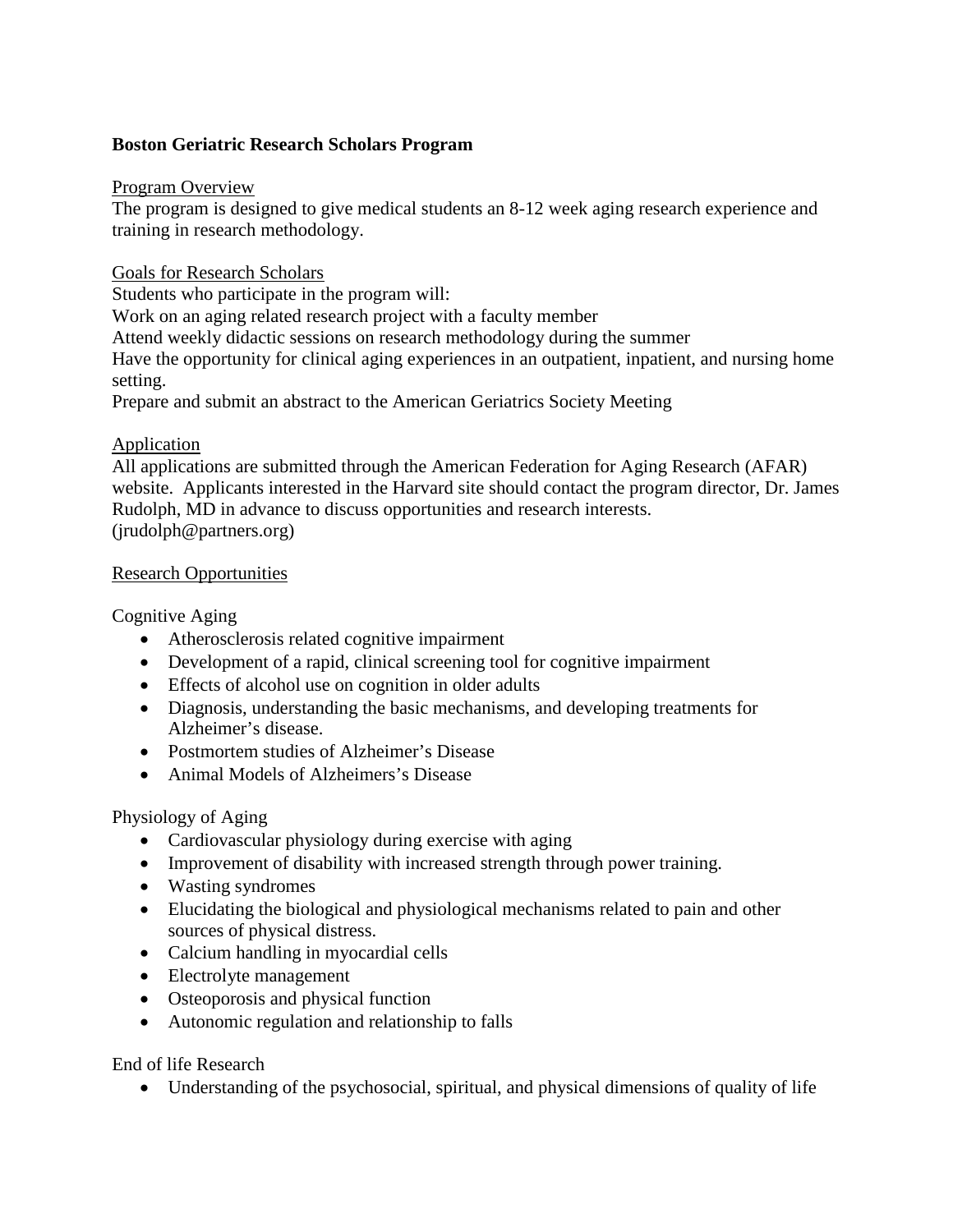## **Boston Geriatric Research Scholars Program**

#### Program Overview

The program is designed to give medical students an 8-12 week aging research experience and training in research methodology.

### Goals for Research Scholars

Students who participate in the program will:

Work on an aging related research project with a faculty member

Attend weekly didactic sessions on research methodology during the summer

Have the opportunity for clinical aging experiences in an outpatient, inpatient, and nursing home setting.

Prepare and submit an abstract to the American Geriatrics Society Meeting

## Application

All applications are submitted through the American Federation for Aging Research (AFAR) website. Applicants interested in the Harvard site should contact the program director, Dr. James Rudolph, MD in advance to discuss opportunities and research interests. (jrudolph@partners.org)

### Research Opportunities

Cognitive Aging

- Atherosclerosis related cognitive impairment
- Development of a rapid, clinical screening tool for cognitive impairment
- Effects of alcohol use on cognition in older adults
- Diagnosis, understanding the basic mechanisms, and developing treatments for Alzheimer's disease.
- Postmortem studies of Alzheimer's Disease
- Animal Models of Alzheimers's Disease

# Physiology of Aging

- Cardiovascular physiology during exercise with aging
- Improvement of disability with increased strength through power training.
- Wasting syndromes
- Elucidating the biological and physiological mechanisms related to pain and other sources of physical distress.
- Calcium handling in myocardial cells
- Electrolyte management
- Osteoporosis and physical function
- Autonomic regulation and relationship to falls

# End of life Research

• Understanding of the psychosocial, spiritual, and physical dimensions of quality of life